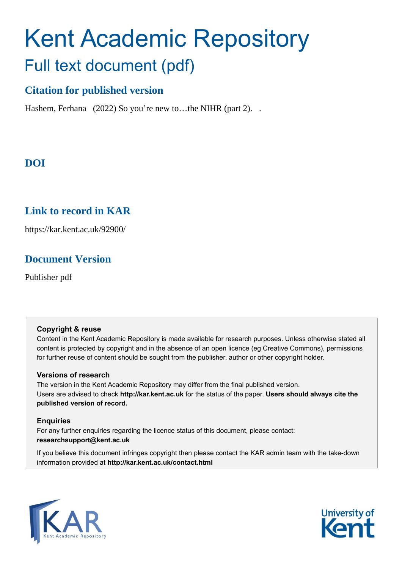# Kent Academic Repository Full text document (pdf)

#### **Citation for published version**

Hashem, Ferhana (2022) So you're new to...the NIHR (part 2)...

## **DOI**

#### **Link to record in KAR**

https://kar.kent.ac.uk/92900/

#### **Document Version**

Publisher pdf

#### **Copyright & reuse**

Content in the Kent Academic Repository is made available for research purposes. Unless otherwise stated all content is protected by copyright and in the absence of an open licence (eg Creative Commons), permissions for further reuse of content should be sought from the publisher, author or other copyright holder.

#### **Versions of research**

The version in the Kent Academic Repository may differ from the final published version. Users are advised to check **http://kar.kent.ac.uk** for the status of the paper. **Users should always cite the published version of record.**

#### **Enquiries**

For any further enquiries regarding the licence status of this document, please contact: **researchsupport@kent.ac.uk**

If you believe this document infringes copyright then please contact the KAR admin team with the take-down information provided at **http://kar.kent.ac.uk/contact.html**